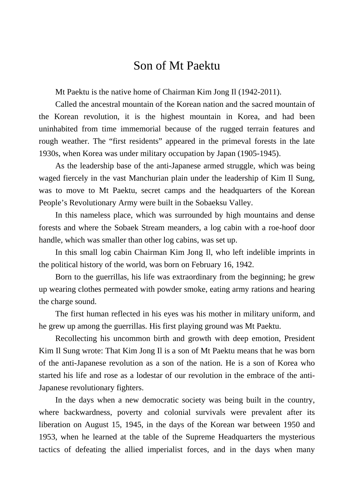## Son of Mt Paektu

Mt Paektu is the native home of Chairman Kim Jong Il (1942-2011).

Called the ancestral mountain of the Korean nation and the sacred mountain of the Korean revolution, it is the highest mountain in Korea, and had been uninhabited from time immemorial because of the rugged terrain features and rough weather. The "first residents" appeared in the primeval forests in the late 1930s, when Korea was under military occupation by Japan (1905-1945).

As the leadership base of the anti-Japanese armed struggle, which was being waged fiercely in the vast Manchurian plain under the leadership of Kim Il Sung, was to move to Mt Paektu, secret camps and the headquarters of the Korean People's Revolutionary Army were built in the Sobaeksu Valley.

In this nameless place, which was surrounded by high mountains and dense forests and where the Sobaek Stream meanders, a log cabin with a roe-hoof door handle, which was smaller than other log cabins, was set up.

In this small log cabin Chairman Kim Jong Il, who left indelible imprints in the political history of the world, was born on February 16, 1942.

Born to the guerrillas, his life was extraordinary from the beginning; he grew up wearing clothes permeated with powder smoke, eating army rations and hearing the charge sound.

The first human reflected in his eyes was his mother in military uniform, and he grew up among the guerrillas. His first playing ground was Mt Paektu.

Recollecting his uncommon birth and growth with deep emotion, President Kim Il Sung wrote: That Kim Jong Il is a son of Mt Paektu means that he was born of the anti-Japanese revolution as a son of the nation. He is a son of Korea who started his life and rose as a lodestar of our revolution in the embrace of the anti-Japanese revolutionary fighters.

In the days when a new democratic society was being built in the country, where backwardness, poverty and colonial survivals were prevalent after its liberation on August 15, 1945, in the days of the Korean war between 1950 and 1953, when he learned at the table of the Supreme Headquarters the mysterious tactics of defeating the allied imperialist forces, and in the days when many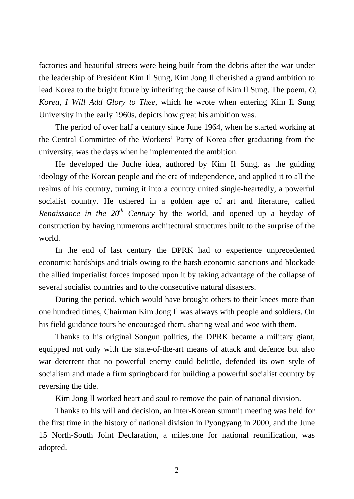factories and beautiful streets were being built from the debris after the war under the leadership of President Kim Il Sung, Kim Jong Il cherished a grand ambition to lead Korea to the bright future by inheriting the cause of Kim Il Sung. The poem, *O, Korea, I Will Add Glory to Thee*, which he wrote when entering Kim Il Sung University in the early 1960s, depicts how great his ambition was.

The period of over half a century since June 1964, when he started working at the Central Committee of the Workers' Party of Korea after graduating from the university, was the days when he implemented the ambition.

He developed the Juche idea, authored by Kim Il Sung, as the guiding ideology of the Korean people and the era of independence, and applied it to all the realms of his country, turning it into a country united single-heartedly, a powerful socialist country. He ushered in a golden age of art and literature, called *Renaissance in the 20th Century* by the world, and opened up a heyday of construction by having numerous architectural structures built to the surprise of the world.

In the end of last century the DPRK had to experience unprecedented economic hardships and trials owing to the harsh economic sanctions and blockade the allied imperialist forces imposed upon it by taking advantage of the collapse of several socialist countries and to the consecutive natural disasters.

During the period, which would have brought others to their knees more than one hundred times, Chairman Kim Jong Il was always with people and soldiers. On his field guidance tours he encouraged them, sharing weal and woe with them.

Thanks to his original Songun politics, the DPRK became a military giant, equipped not only with the state-of-the-art means of attack and defence but also war deterrent that no powerful enemy could belittle, defended its own style of socialism and made a firm springboard for building a powerful socialist country by reversing the tide.

Kim Jong Il worked heart and soul to remove the pain of national division.

Thanks to his will and decision, an inter-Korean summit meeting was held for the first time in the history of national division in Pyongyang in 2000, and the June 15 North-South Joint Declaration, a milestone for national reunification, was adopted.